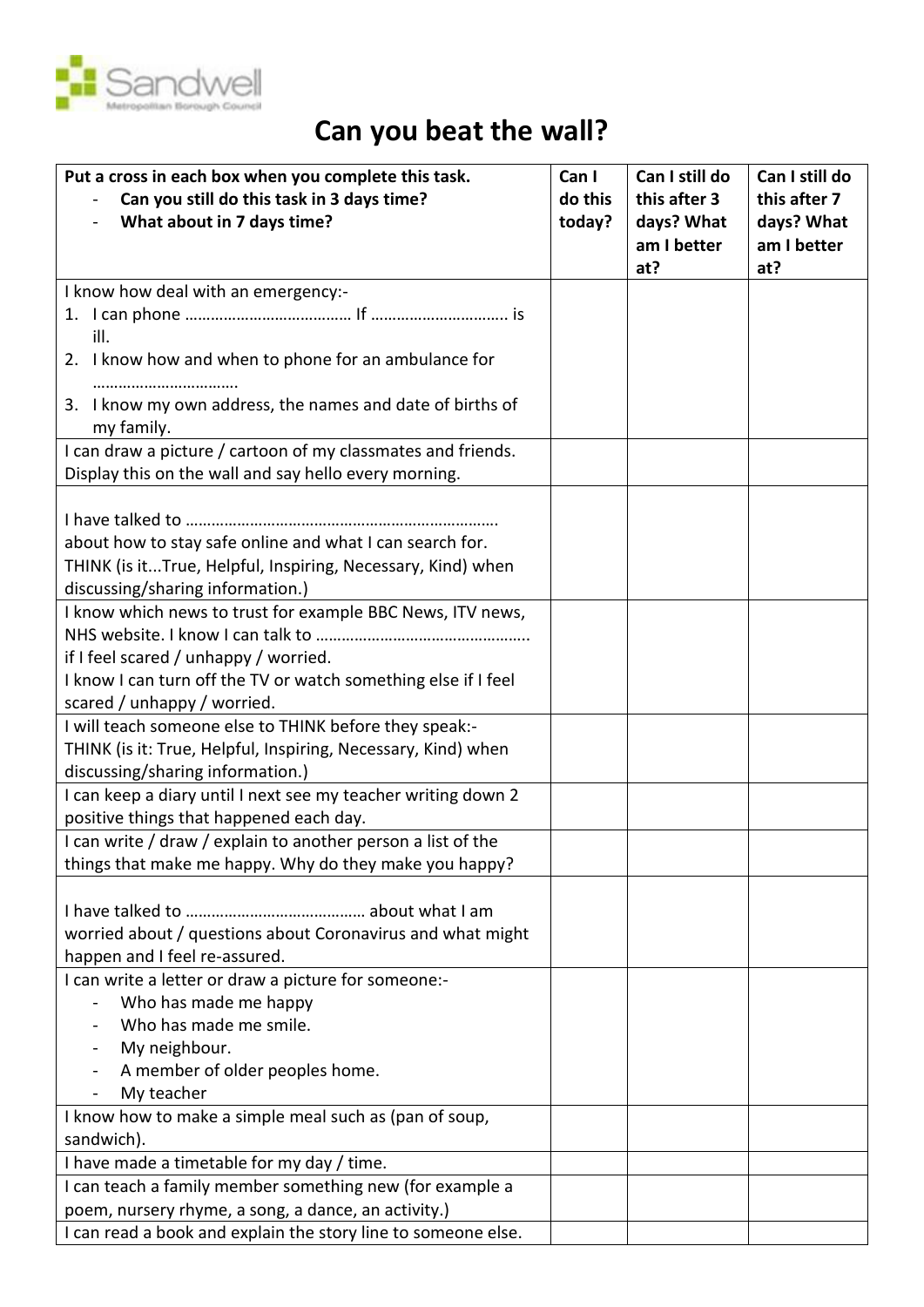

## **Can you beat the wall?**

| Put a cross in each box when you complete this task.                     | Can I             | Can I still do             | Can I still do             |
|--------------------------------------------------------------------------|-------------------|----------------------------|----------------------------|
| Can you still do this task in 3 days time?<br>What about in 7 days time? | do this<br>today? | this after 3<br>days? What | this after 7<br>days? What |
|                                                                          |                   | am I better                | am I better                |
|                                                                          |                   | at?                        | at?                        |
| I know how deal with an emergency:-                                      |                   |                            |                            |
|                                                                          |                   |                            |                            |
| ill.                                                                     |                   |                            |                            |
| 2. I know how and when to phone for an ambulance for                     |                   |                            |                            |
| 3. I know my own address, the names and date of births of<br>my family.  |                   |                            |                            |
| I can draw a picture / cartoon of my classmates and friends.             |                   |                            |                            |
| Display this on the wall and say hello every morning.                    |                   |                            |                            |
|                                                                          |                   |                            |                            |
| about how to stay safe online and what I can search for.                 |                   |                            |                            |
| THINK (is itTrue, Helpful, Inspiring, Necessary, Kind) when              |                   |                            |                            |
| discussing/sharing information.)                                         |                   |                            |                            |
| I know which news to trust for example BBC News, ITV news,               |                   |                            |                            |
|                                                                          |                   |                            |                            |
| if I feel scared / unhappy / worried.                                    |                   |                            |                            |
| I know I can turn off the TV or watch something else if I feel           |                   |                            |                            |
| scared / unhappy / worried.                                              |                   |                            |                            |
| I will teach someone else to THINK before they speak:-                   |                   |                            |                            |
| THINK (is it: True, Helpful, Inspiring, Necessary, Kind) when            |                   |                            |                            |
| discussing/sharing information.)                                         |                   |                            |                            |
| I can keep a diary until I next see my teacher writing down 2            |                   |                            |                            |
| positive things that happened each day.                                  |                   |                            |                            |
| I can write / draw / explain to another person a list of the             |                   |                            |                            |
| things that make me happy. Why do they make you happy?                   |                   |                            |                            |
|                                                                          |                   |                            |                            |
| worried about / questions about Coronavirus and what might               |                   |                            |                            |
| happen and I feel re-assured.                                            |                   |                            |                            |
| I can write a letter or draw a picture for someone:-                     |                   |                            |                            |
| Who has made me happy                                                    |                   |                            |                            |
| Who has made me smile.                                                   |                   |                            |                            |
| My neighbour.                                                            |                   |                            |                            |
| A member of older peoples home.                                          |                   |                            |                            |
| My teacher                                                               |                   |                            |                            |
| I know how to make a simple meal such as (pan of soup,                   |                   |                            |                            |
| sandwich).                                                               |                   |                            |                            |
| I have made a timetable for my day / time.                               |                   |                            |                            |
| I can teach a family member something new (for example a                 |                   |                            |                            |
| poem, nursery rhyme, a song, a dance, an activity.)                      |                   |                            |                            |
| I can read a book and explain the story line to someone else.            |                   |                            |                            |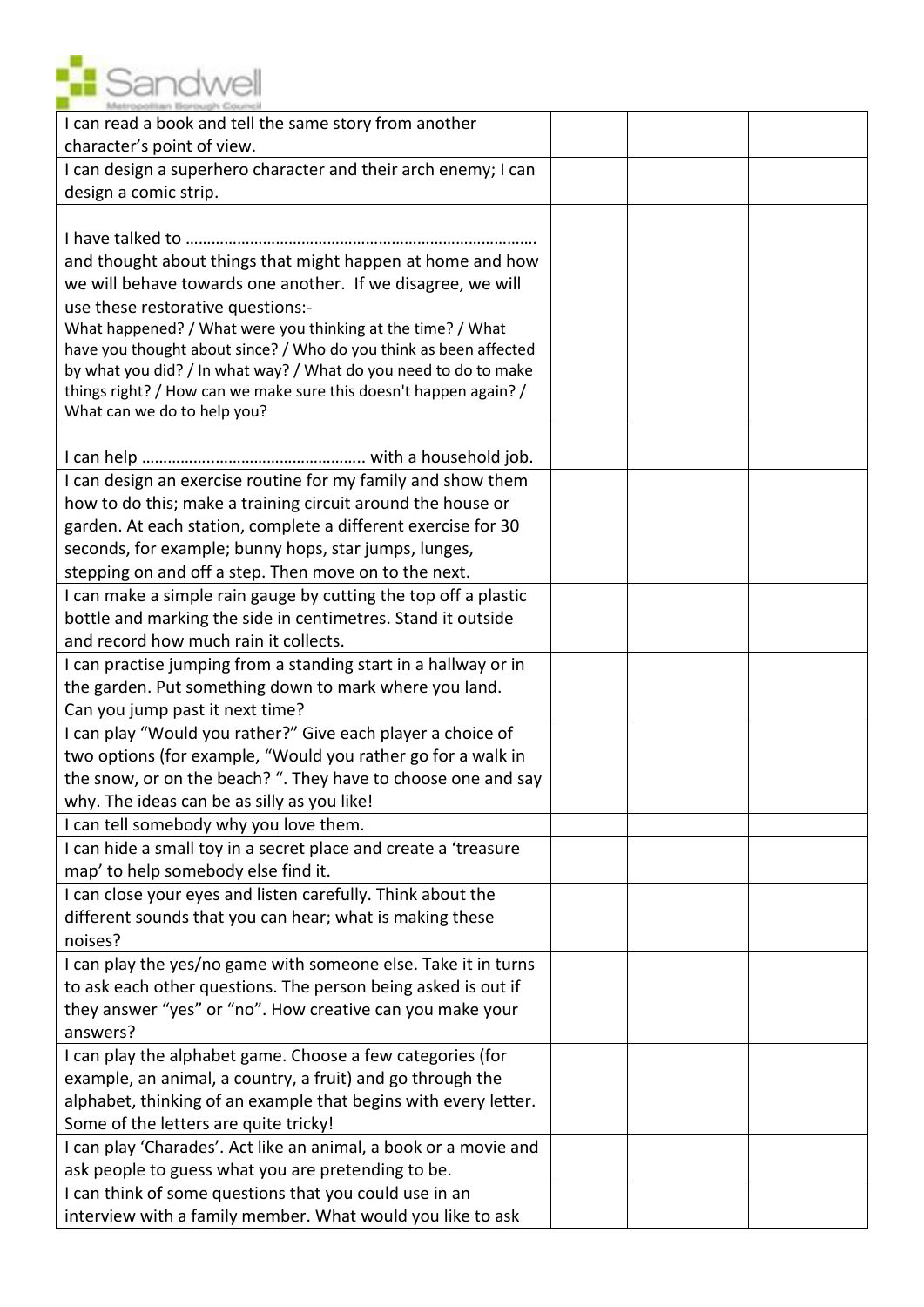

| I can read a book and tell the same story from another<br>character's point of view.                                   |  |  |
|------------------------------------------------------------------------------------------------------------------------|--|--|
| I can design a superhero character and their arch enemy; I can                                                         |  |  |
| design a comic strip.                                                                                                  |  |  |
| and thought about things that might happen at home and how                                                             |  |  |
| we will behave towards one another. If we disagree, we will                                                            |  |  |
| use these restorative questions:-<br>What happened? / What were you thinking at the time? / What                       |  |  |
| have you thought about since? / Who do you think as been affected                                                      |  |  |
| by what you did? / In what way? / What do you need to do to make                                                       |  |  |
| things right? / How can we make sure this doesn't happen again? /                                                      |  |  |
| What can we do to help you?                                                                                            |  |  |
|                                                                                                                        |  |  |
| I can design an exercise routine for my family and show them                                                           |  |  |
| how to do this; make a training circuit around the house or                                                            |  |  |
| garden. At each station, complete a different exercise for 30                                                          |  |  |
| seconds, for example; bunny hops, star jumps, lunges,<br>stepping on and off a step. Then move on to the next.         |  |  |
| I can make a simple rain gauge by cutting the top off a plastic                                                        |  |  |
| bottle and marking the side in centimetres. Stand it outside                                                           |  |  |
| and record how much rain it collects.                                                                                  |  |  |
| I can practise jumping from a standing start in a hallway or in                                                        |  |  |
| the garden. Put something down to mark where you land.                                                                 |  |  |
| Can you jump past it next time?                                                                                        |  |  |
| I can play "Would you rather?" Give each player a choice of                                                            |  |  |
| two options (for example, "Would you rather go for a walk in                                                           |  |  |
| the snow, or on the beach? ". They have to choose one and say                                                          |  |  |
| why. The ideas can be as silly as you like!                                                                            |  |  |
| I can tell somebody why you love them.                                                                                 |  |  |
| I can hide a small toy in a secret place and create a 'treasure<br>map' to help somebody else find it.                 |  |  |
| I can close your eyes and listen carefully. Think about the                                                            |  |  |
| different sounds that you can hear; what is making these                                                               |  |  |
| noises?                                                                                                                |  |  |
| I can play the yes/no game with someone else. Take it in turns                                                         |  |  |
| to ask each other questions. The person being asked is out if                                                          |  |  |
| they answer "yes" or "no". How creative can you make your                                                              |  |  |
| answers?                                                                                                               |  |  |
| I can play the alphabet game. Choose a few categories (for                                                             |  |  |
| example, an animal, a country, a fruit) and go through the                                                             |  |  |
| alphabet, thinking of an example that begins with every letter.                                                        |  |  |
| Some of the letters are quite tricky!                                                                                  |  |  |
| I can play 'Charades'. Act like an animal, a book or a movie and<br>ask people to guess what you are pretending to be. |  |  |
| I can think of some questions that you could use in an                                                                 |  |  |
| interview with a family member. What would you like to ask                                                             |  |  |
|                                                                                                                        |  |  |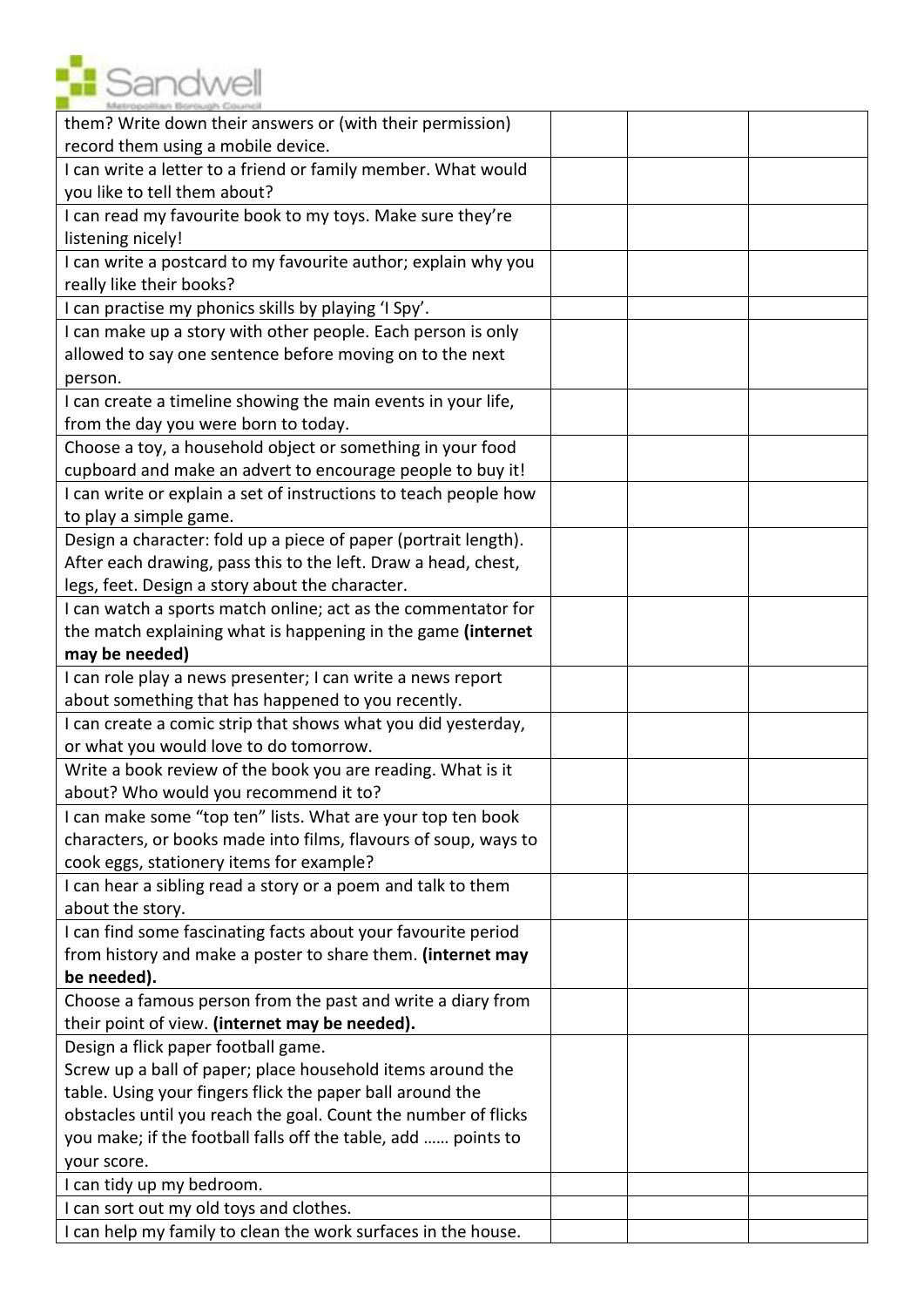

| them? Write down their answers or (with their permission)        |  |  |
|------------------------------------------------------------------|--|--|
| record them using a mobile device.                               |  |  |
| I can write a letter to a friend or family member. What would    |  |  |
| you like to tell them about?                                     |  |  |
| I can read my favourite book to my toys. Make sure they're       |  |  |
| listening nicely!                                                |  |  |
| I can write a postcard to my favourite author; explain why you   |  |  |
| really like their books?                                         |  |  |
| I can practise my phonics skills by playing 'I Spy'.             |  |  |
| I can make up a story with other people. Each person is only     |  |  |
| allowed to say one sentence before moving on to the next         |  |  |
| person.                                                          |  |  |
| I can create a timeline showing the main events in your life,    |  |  |
| from the day you were born to today.                             |  |  |
| Choose a toy, a household object or something in your food       |  |  |
| cupboard and make an advert to encourage people to buy it!       |  |  |
| I can write or explain a set of instructions to teach people how |  |  |
| to play a simple game.                                           |  |  |
| Design a character: fold up a piece of paper (portrait length).  |  |  |
| After each drawing, pass this to the left. Draw a head, chest,   |  |  |
| legs, feet. Design a story about the character.                  |  |  |
| I can watch a sports match online; act as the commentator for    |  |  |
| the match explaining what is happening in the game (internet     |  |  |
| may be needed)                                                   |  |  |
| I can role play a news presenter; I can write a news report      |  |  |
| about something that has happened to you recently.               |  |  |
| I can create a comic strip that shows what you did yesterday,    |  |  |
| or what you would love to do tomorrow.                           |  |  |
| Write a book review of the book you are reading. What is it      |  |  |
| about? Who would you recommend it to?                            |  |  |
| I can make some "top ten" lists. What are your top ten book      |  |  |
| characters, or books made into films, flavours of soup, ways to  |  |  |
| cook eggs, stationery items for example?                         |  |  |
| I can hear a sibling read a story or a poem and talk to them     |  |  |
| about the story.                                                 |  |  |
| I can find some fascinating facts about your favourite period    |  |  |
| from history and make a poster to share them. (internet may      |  |  |
| be needed).                                                      |  |  |
| Choose a famous person from the past and write a diary from      |  |  |
| their point of view. (internet may be needed).                   |  |  |
| Design a flick paper football game.                              |  |  |
| Screw up a ball of paper; place household items around the       |  |  |
| table. Using your fingers flick the paper ball around the        |  |  |
| obstacles until you reach the goal. Count the number of flicks   |  |  |
| you make; if the football falls off the table, add  points to    |  |  |
| your score.                                                      |  |  |
| I can tidy up my bedroom.                                        |  |  |
| I can sort out my old toys and clothes.                          |  |  |
| I can help my family to clean the work surfaces in the house.    |  |  |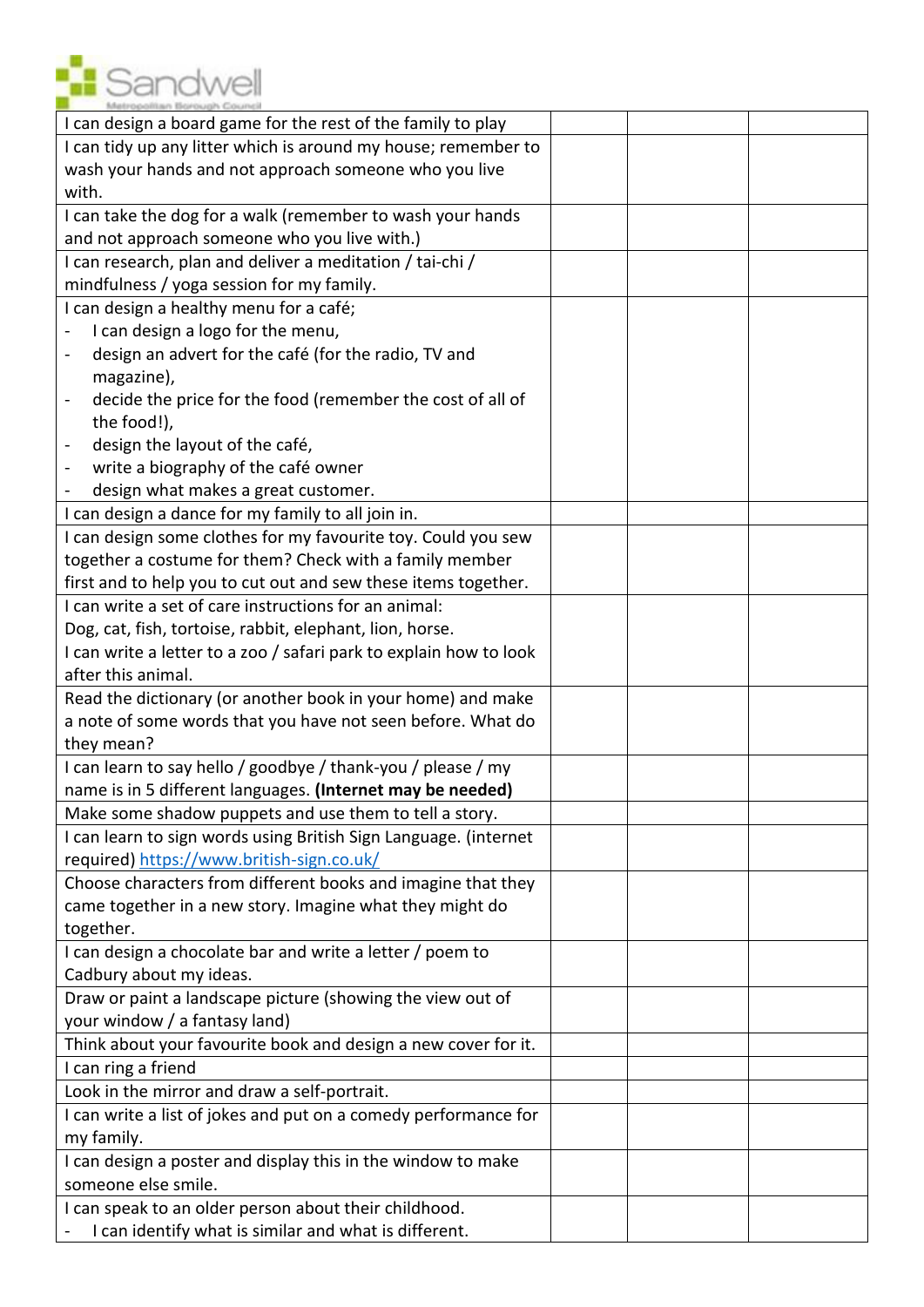

| I can design a board game for the rest of the family to play                     |  |  |
|----------------------------------------------------------------------------------|--|--|
| I can tidy up any litter which is around my house; remember to                   |  |  |
| wash your hands and not approach someone who you live                            |  |  |
| with.                                                                            |  |  |
| I can take the dog for a walk (remember to wash your hands                       |  |  |
| and not approach someone who you live with.)                                     |  |  |
| I can research, plan and deliver a meditation / tai-chi /                        |  |  |
| mindfulness / yoga session for my family.                                        |  |  |
| I can design a healthy menu for a café;                                          |  |  |
| I can design a logo for the menu,                                                |  |  |
| design an advert for the café (for the radio, TV and<br>$\overline{\phantom{0}}$ |  |  |
| magazine),                                                                       |  |  |
| decide the price for the food (remember the cost of all of                       |  |  |
| the food!),                                                                      |  |  |
| design the layout of the café,                                                   |  |  |
| write a biography of the café owner<br>$\qquad \qquad \blacksquare$              |  |  |
| design what makes a great customer.                                              |  |  |
| I can design a dance for my family to all join in.                               |  |  |
| I can design some clothes for my favourite toy. Could you sew                    |  |  |
| together a costume for them? Check with a family member                          |  |  |
| first and to help you to cut out and sew these items together.                   |  |  |
| I can write a set of care instructions for an animal:                            |  |  |
| Dog, cat, fish, tortoise, rabbit, elephant, lion, horse.                         |  |  |
| I can write a letter to a zoo / safari park to explain how to look               |  |  |
| after this animal.                                                               |  |  |
| Read the dictionary (or another book in your home) and make                      |  |  |
| a note of some words that you have not seen before. What do                      |  |  |
| they mean?                                                                       |  |  |
| I can learn to say hello / goodbye / thank-you / please / my                     |  |  |
| name is in 5 different languages. (Internet may be needed)                       |  |  |
| Make some shadow puppets and use them to tell a story.                           |  |  |
| I can learn to sign words using British Sign Language. (internet                 |  |  |
| required) https://www.british-sign.co.uk/                                        |  |  |
| Choose characters from different books and imagine that they                     |  |  |
| came together in a new story. Imagine what they might do                         |  |  |
| together.                                                                        |  |  |
| I can design a chocolate bar and write a letter / poem to                        |  |  |
| Cadbury about my ideas.                                                          |  |  |
| Draw or paint a landscape picture (showing the view out of                       |  |  |
| your window / a fantasy land)                                                    |  |  |
| Think about your favourite book and design a new cover for it.                   |  |  |
| I can ring a friend                                                              |  |  |
| Look in the mirror and draw a self-portrait.                                     |  |  |
| I can write a list of jokes and put on a comedy performance for                  |  |  |
| my family.                                                                       |  |  |
| I can design a poster and display this in the window to make                     |  |  |
| someone else smile.                                                              |  |  |
| I can speak to an older person about their childhood.                            |  |  |
| I can identify what is similar and what is different.                            |  |  |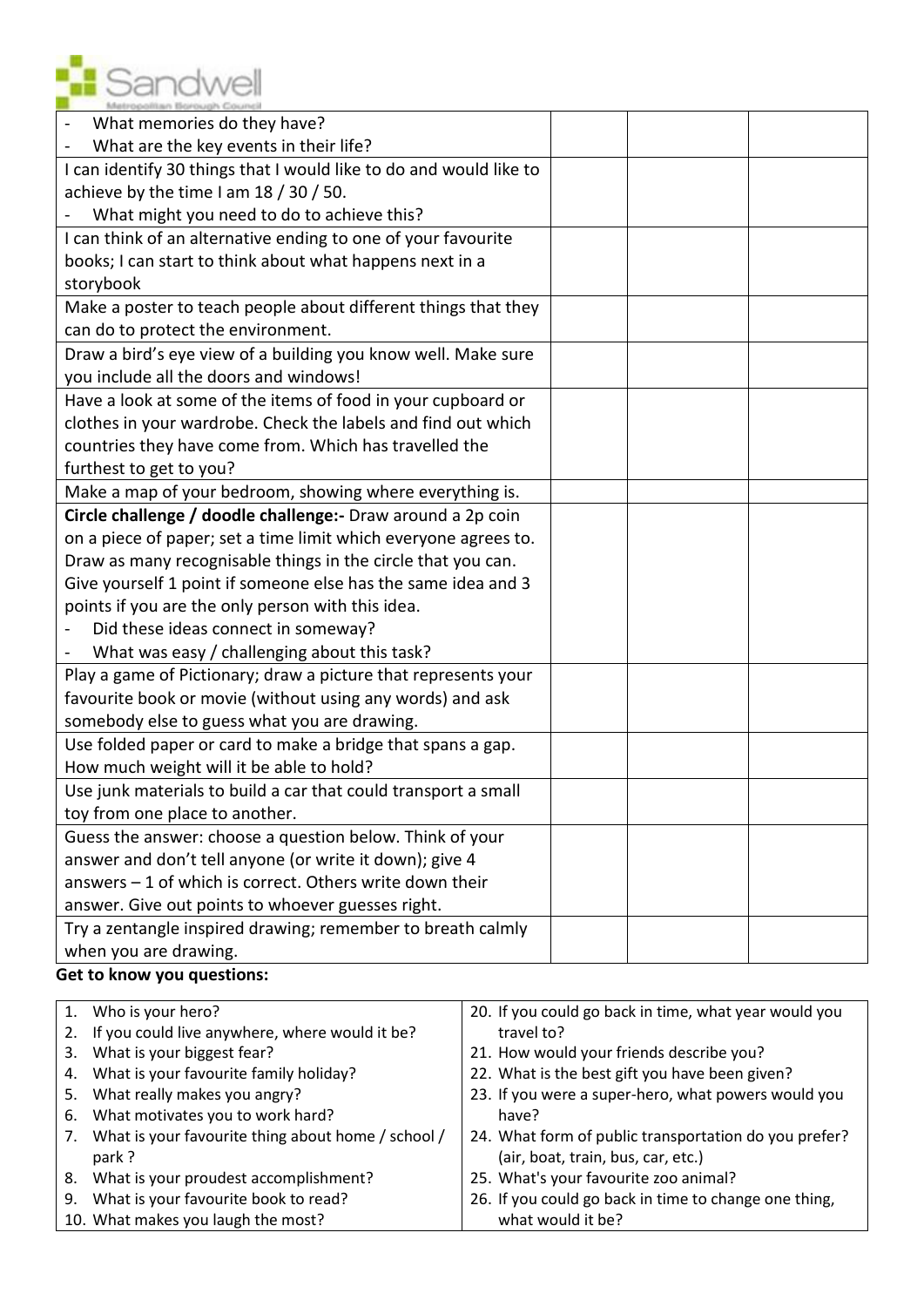

| What memories do they have?                                        |  |  |
|--------------------------------------------------------------------|--|--|
| What are the key events in their life?                             |  |  |
| I can identify 30 things that I would like to do and would like to |  |  |
| achieve by the time I am 18 / 30 / 50.                             |  |  |
| What might you need to do to achieve this?                         |  |  |
| I can think of an alternative ending to one of your favourite      |  |  |
| books; I can start to think about what happens next in a           |  |  |
| storybook                                                          |  |  |
| Make a poster to teach people about different things that they     |  |  |
| can do to protect the environment.                                 |  |  |
| Draw a bird's eye view of a building you know well. Make sure      |  |  |
| you include all the doors and windows!                             |  |  |
| Have a look at some of the items of food in your cupboard or       |  |  |
| clothes in your wardrobe. Check the labels and find out which      |  |  |
| countries they have come from. Which has travelled the             |  |  |
| furthest to get to you?                                            |  |  |
| Make a map of your bedroom, showing where everything is.           |  |  |
| Circle challenge / doodle challenge: - Draw around a 2p coin       |  |  |
| on a piece of paper; set a time limit which everyone agrees to.    |  |  |
| Draw as many recognisable things in the circle that you can.       |  |  |
| Give yourself 1 point if someone else has the same idea and 3      |  |  |
| points if you are the only person with this idea.                  |  |  |
| Did these ideas connect in someway?                                |  |  |
| What was easy / challenging about this task?                       |  |  |
| Play a game of Pictionary; draw a picture that represents your     |  |  |
| favourite book or movie (without using any words) and ask          |  |  |
| somebody else to guess what you are drawing.                       |  |  |
| Use folded paper or card to make a bridge that spans a gap.        |  |  |
| How much weight will it be able to hold?                           |  |  |
| Use junk materials to build a car that could transport a small     |  |  |
| toy from one place to another.                                     |  |  |
| Guess the answer: choose a question below. Think of your           |  |  |
| answer and don't tell anyone (or write it down); give 4            |  |  |
| answers - 1 of which is correct. Others write down their           |  |  |
| answer. Give out points to whoever guesses right.                  |  |  |
| Try a zentangle inspired drawing; remember to breath calmly        |  |  |
| when you are drawing.                                              |  |  |

## **Get to know you questions:**

|    | 1. Who is your hero?                               | 20. If you could go back in time, what year would you |
|----|----------------------------------------------------|-------------------------------------------------------|
| 2. | If you could live anywhere, where would it be?     | travel to?                                            |
| 3. | What is your biggest fear?                         | 21. How would your friends describe you?              |
|    | 4. What is your favourite family holiday?          | 22. What is the best gift you have been given?        |
| 5. | What really makes you angry?                       | 23. If you were a super-hero, what powers would you   |
| 6. | What motivates you to work hard?                   | have?                                                 |
| 7. | What is your favourite thing about home / school / | 24. What form of public transportation do you prefer? |
|    | park?                                              | (air, boat, train, bus, car, etc.)                    |
|    | 8. What is your proudest accomplishment?           | 25. What's your favourite zoo animal?                 |
| 9. | What is your favourite book to read?               | 26. If you could go back in time to change one thing, |
|    | 10. What makes you laugh the most?                 | what would it be?                                     |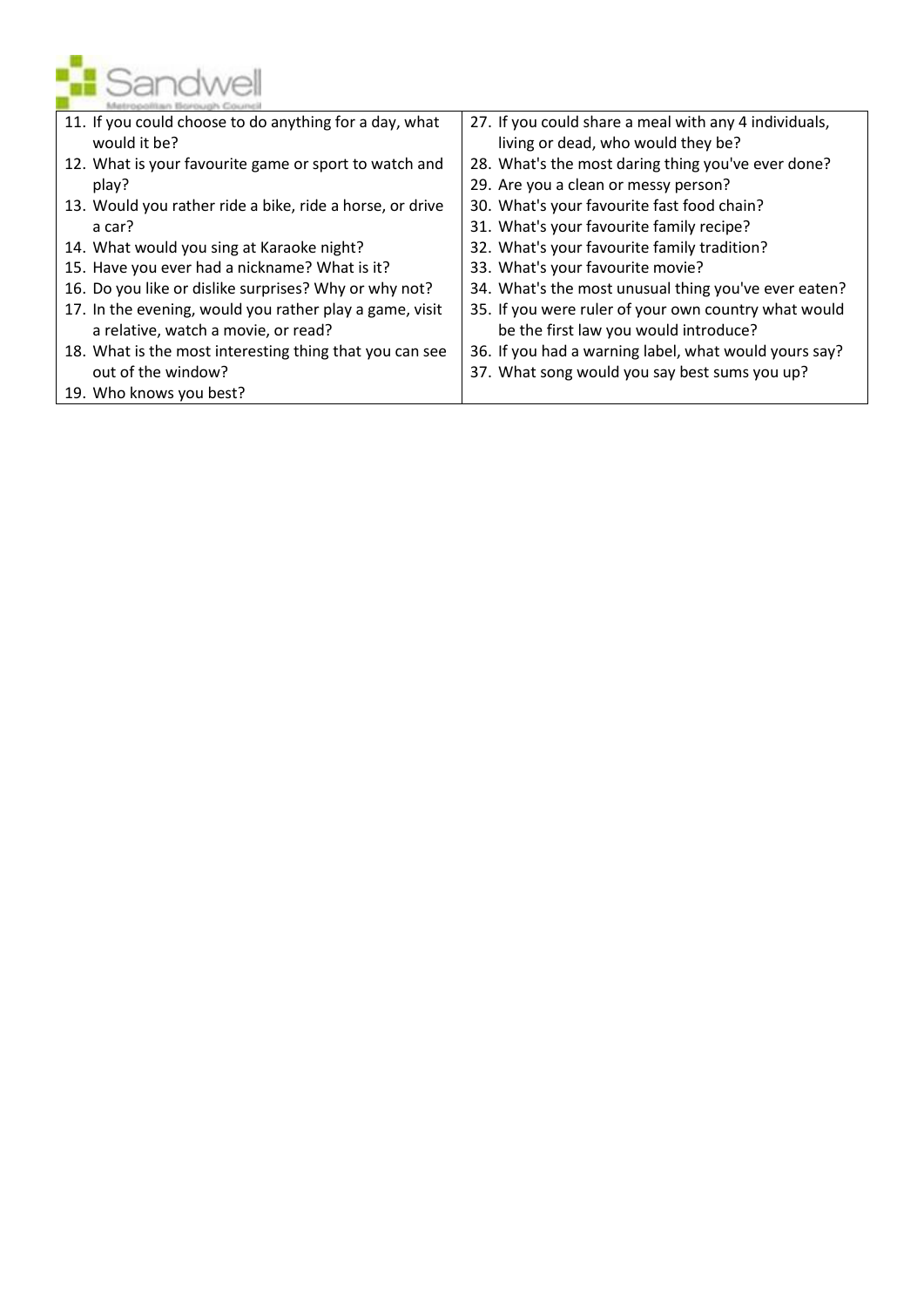

| 11. If you could choose to do anything for a day, what   | 27. If you could share a meal with any 4 individuals, |
|----------------------------------------------------------|-------------------------------------------------------|
| would it be?                                             | living or dead, who would they be?                    |
| 12. What is your favourite game or sport to watch and    | 28. What's the most daring thing you've ever done?    |
| play?                                                    | 29. Are you a clean or messy person?                  |
| 13. Would you rather ride a bike, ride a horse, or drive | 30. What's your favourite fast food chain?            |
| a car?                                                   | 31. What's your favourite family recipe?              |
| 14. What would you sing at Karaoke night?                | 32. What's your favourite family tradition?           |
| 15. Have you ever had a nickname? What is it?            | 33. What's your favourite movie?                      |
| 16. Do you like or dislike surprises? Why or why not?    | 34. What's the most unusual thing you've ever eaten?  |
| 17. In the evening, would you rather play a game, visit  | 35. If you were ruler of your own country what would  |
| a relative, watch a movie, or read?                      | be the first law you would introduce?                 |
| 18. What is the most interesting thing that you can see  | 36. If you had a warning label, what would yours say? |
| out of the window?                                       | 37. What song would you say best sums you up?         |
| 19. Who knows you best?                                  |                                                       |